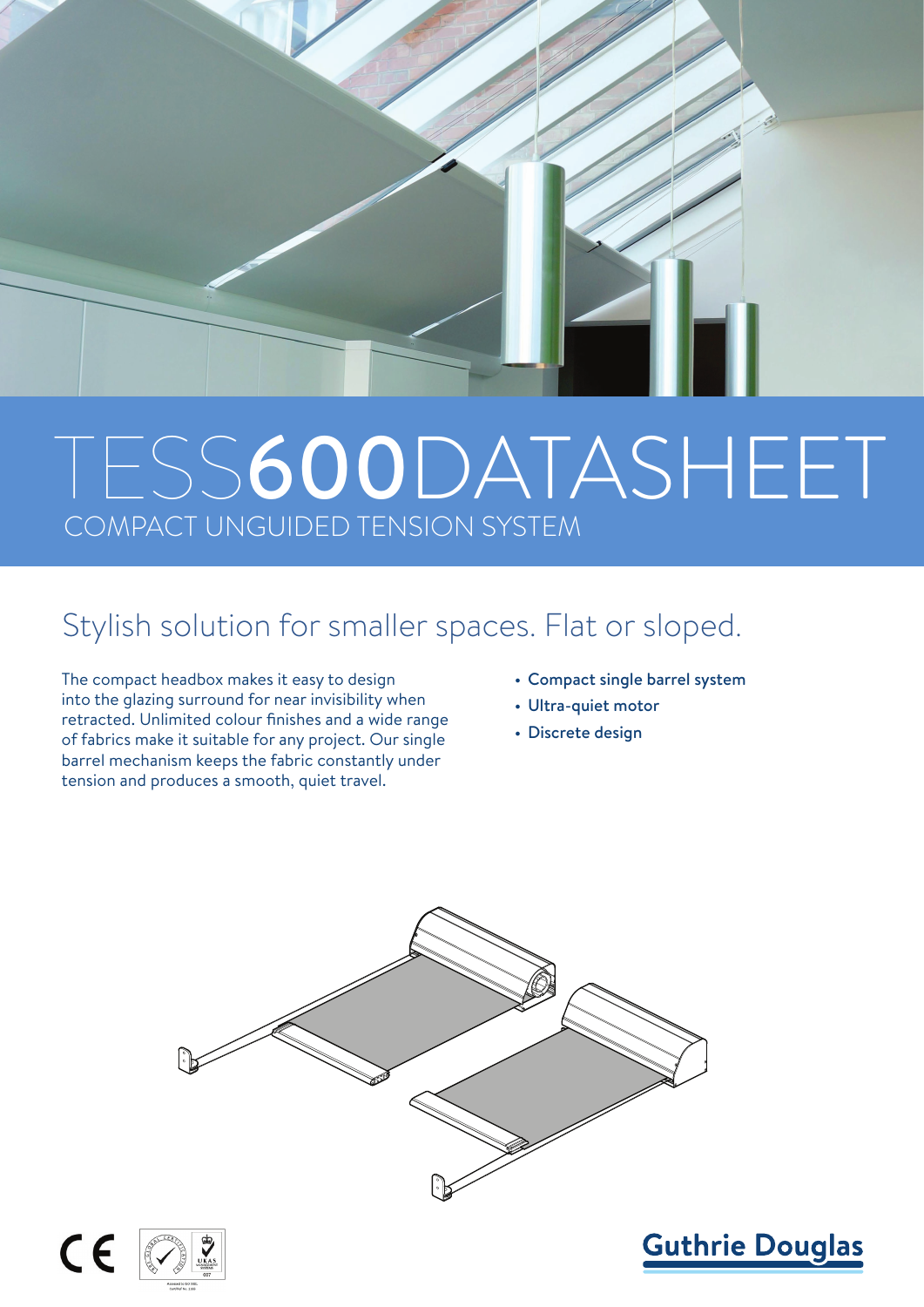

# TESS600DATASHEET COMPACT UNGUIDED TENSION SYSTEM

### Stylish solution for smaller spaces. Flat or sloped.

The compact headbox makes it easy to design into the glazing surround for near invisibility when retracted. Unlimited colour finishes and a wide range of fabrics make it suitable for any project. Our single barrel mechanism keeps the fabric constantly under tension and produces a smooth, quiet travel.

- Compact single barrel system
- Ultra-quiet motor
- Discrete design